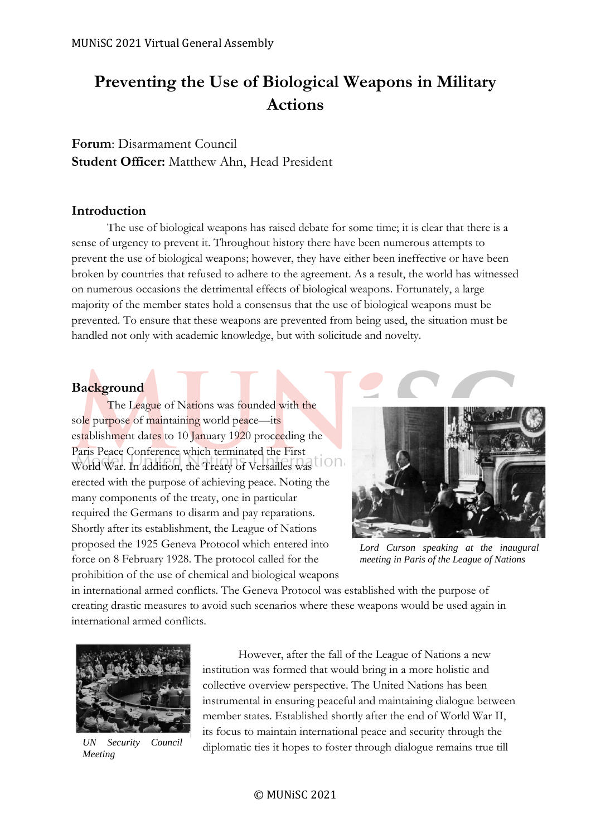# **Preventing the Use of Biological Weapons in Military Actions**

**Forum**: Disarmament Council **Student Officer:** Matthew Ahn, Head President

## **Introduction**

The use of biological weapons has raised debate for some time; it is clear that there is a sense of urgency to prevent it. Throughout history there have been numerous attempts to prevent the use of biological weapons; however, they have either been ineffective or have been broken by countries that refused to adhere to the agreement. As a result, the world has witnessed on numerous occasions the detrimental effects of biological weapons. Fortunately, a large majority of the member states hold a consensus that the use of biological weapons must be prevented. To ensure that these weapons are prevented from being used, the situation must be handled not only with academic knowledge, but with solicitude and novelty.

## **Background**

The League of Nations was founded with the sole purpose of maintaining world peace—its establishment dates to 10 January 1920 proceeding the Paris Peace Conference which terminated the First World War. In addition, the Treaty of Versailles was loop erected with the purpose of achieving peace. Noting the many components of the treaty, one in particular required the Germans to disarm and pay reparations. Shortly after its establishment, the League of Nations proposed the 1925 Geneva Protocol which entered into force on 8 February 1928. The protocol called for the prohibition of the use of chemical and biological weapons



*Lord Curson speaking at the inaugural meeting in Paris of the League of Nations*

in international armed conflicts. The Geneva Protocol was established with the purpose of creating drastic measures to avoid such scenarios where these weapons would be used again in international armed conflicts.



*UN Security Council Meeting*

However, after the fall of the League of Nations a new institution was formed that would bring in a more holistic and collective overview perspective. The United Nations has been instrumental in ensuring peaceful and maintaining dialogue between member states. Established shortly after the end of World War II, its focus to maintain international peace and security through the diplomatic ties it hopes to foster through dialogue remains true till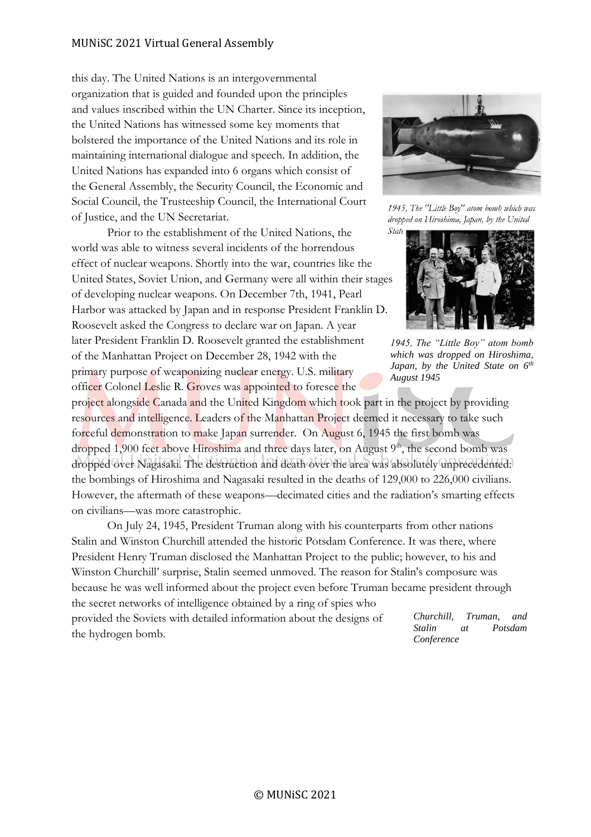this day. The United Nations is an intergovernmental organization that is guided and founded upon the principles and values inscribed within the UN Charter. Since its inception, the United Nations has witnessed some key moments that bolstered the importance of the United Nations and its role in maintaining international dialogue and speech. In addition, the United Nations has expanded into 6 organs which consist of the General Assembly, the Security Council, the Economic and Social Council, the Trusteeship Council, the International Court of Justice, and the UN Secretariat.

Prior to the establishment of the United Nations, the world was able to witness several incidents of the horrendous effect of nuclear weapons. Shortly into the war, countries like the United States, Soviet Union, and Germany were all within their stages of developing nuclear weapons. On December 7th, 1941, Pearl Harbor was attacked by Japan and in response President Franklin D. Roosevelt asked the Congress to declare war on Japan. A year later President Franklin D. Roosevelt granted the establishment of the Manhattan Project on December 28, 1942 with the primary purpose of weaponizing nuclear energy. U.S. military officer Colonel Leslie R. Groves was appointed to foresee the

project alongside Canada and the United Kingdom which took part in the project by providing resources and intelligence. Leaders of the Manhattan Project deemed it necessary to take such forceful demonstration to make Japan surrender. On August 6, 1945 the first bomb was dropped 1,900 feet above Hiroshima and three days later, on August 9<sup>th</sup>, the second bomb was dropped over Nagasaki. The destruction and death over the area was absolutely unprecedented: the bombings of Hiroshima and Nagasaki resulted in the deaths of 129,000 to 226,000 civilians. However, the aftermath of these weapons—decimated cities and the radiation's smarting effects on civilians—was more catastrophic.

On July 24, 1945, President Truman along with his counterparts from other nations Stalin and Winston Churchill attended the historic Potsdam Conference. It was there, where President Henry Truman disclosed the Manhattan Project to the public; however, to his and Winston Churchill' surprise, Stalin seemed unmoved. The reason for Stalin's composure was because he was well informed about the project even before Truman became president through the secret networks of intelligence obtained by a ring of spies who

provided the Soviets with detailed information about the designs of the hydrogen bomb.



1945, The "Little Boy" atom bomb which was dropped on Hiroshima, Japan, by the United State



*1945, The "Little Boy" atom bomb which was dropped on Hiroshima, Japan, by the United State on 6th August 1945*

*Churchill, Truman, and Stalin at Potsdam Conference*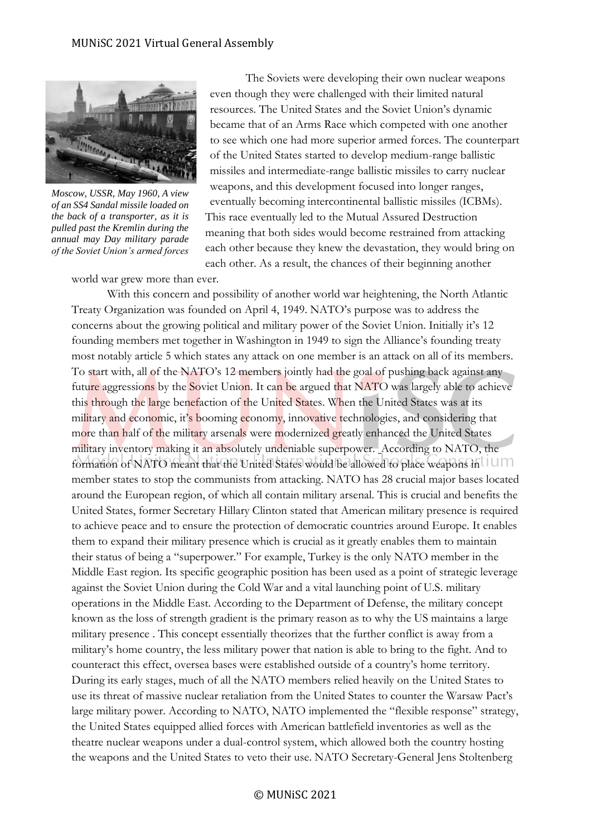

*Moscow, USSR, May 1960, A view of an SS4 Sandal missile loaded on the back of a transporter, as it is pulled past the Kremlin during the annual may Day military parade of the Soviet Union's armed forces*

The Soviets were developing their own nuclear weapons even though they were challenged with their limited natural resources. The United States and the Soviet Union's dynamic became that of an Arms Race which competed with one another to see which one had more superior armed forces. The counterpart of the United States started to develop medium-range ballistic missiles and intermediate-range ballistic missiles to carry nuclear weapons, and this development focused into longer ranges, eventually becoming intercontinental ballistic missiles (ICBMs). This race eventually led to the Mutual Assured Destruction meaning that both sides would become restrained from attacking each other because they knew the devastation, they would bring on each other. As a result, the chances of their beginning another

world war grew more than ever.

With this concern and possibility of another world war heightening, the North Atlantic Treaty Organization was founded on April 4, 1949. NATO's purpose was to address the concerns about the growing political and military power of the Soviet Union. Initially it's 12 founding members met together in Washington in 1949 to sign the Alliance's founding treaty most notably article 5 which states any attack on one member is an attack on all of its members. To start with, all of the NATO's 12 members jointly had the goal of pushing back against any future aggressions by the Soviet Union. It can be argued that NATO was largely able to achieve this through the large benefaction of the United States. When the United States was at its military and economic, it's booming economy, innovative technologies, and considering that more than half of the military arsenals were modernized greatly enhanced the United States military inventory making it an absolutely undeniable superpower. According to NATO, the formation of NATO meant that the United States would be allowed to place weapons in UIM member states to stop the communists from attacking. NATO has 28 crucial major bases located around the European region, of which all contain military arsenal. This is crucial and benefits the United States, former Secretary Hillary Clinton stated that American military presence is required to achieve peace and to ensure the protection of democratic countries around Europe. It enables them to expand their military presence which is crucial as it greatly enables them to maintain their status of being a "superpower." For example, Turkey is the only NATO member in the Middle East region. Its specific geographic position has been used as a point of strategic leverage against the Soviet Union during the Cold War and a vital launching point of U.S. military operations in the Middle East. According to the Department of Defense, the military concept known as the loss of strength gradient is the primary reason as to why the US maintains a large military presence . This concept essentially theorizes that the further conflict is away from a military's home country, the less military power that nation is able to bring to the fight. And to counteract this effect, oversea bases were established outside of a country's home territory. During its early stages, much of all the NATO members relied heavily on the United States to use its threat of massive nuclear retaliation from the United States to counter the Warsaw Pact's large military power. According to NATO, NATO implemented the "flexible response" strategy, the United States equipped allied forces with American battlefield inventories as well as the theatre nuclear weapons under a dual-control system, which allowed both the country hosting the weapons and the United States to veto their use. NATO Secretary-General Jens Stoltenberg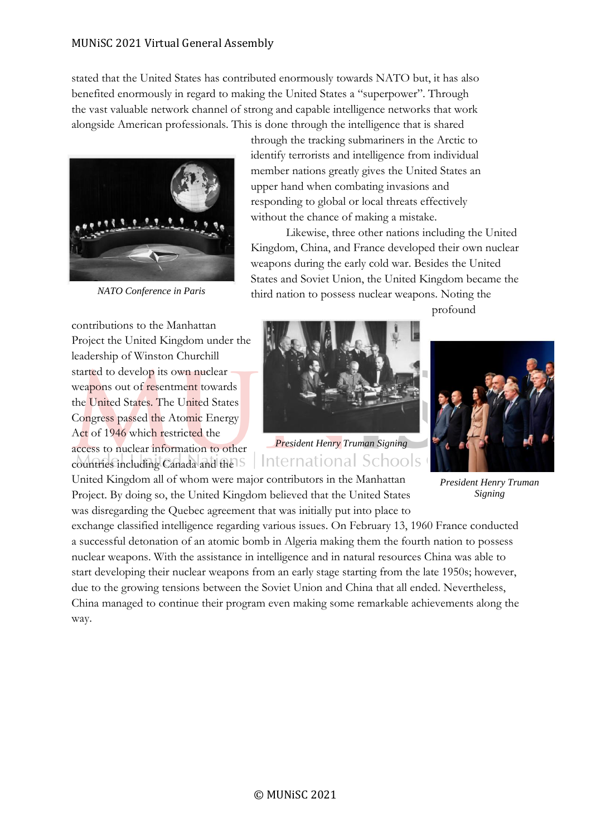stated that the United States has contributed enormously towards NATO but, it has also benefited enormously in regard to making the United States a "superpower". Through the vast valuable network channel of strong and capable intelligence networks that work alongside American professionals. This is done through the intelligence that is shared



*NATO Conference in Paris*

through the tracking submariners in the Arctic to identify terrorists and intelligence from individual member nations greatly gives the United States an upper hand when combating invasions and responding to global or local threats effectively without the chance of making a mistake.

Likewise, three other nations including the United Kingdom, China, and France developed their own nuclear weapons during the early cold war. Besides the United States and Soviet Union, the United Kingdom became the third nation to possess nuclear weapons. Noting the

contributions to the Manhattan Project the United Kingdom under the leadership of Winston Churchill started to develop its own nuclear weapons out of resentment towards the United States. The United States Congress passed the Atomic Energy Act of 1946 which restricted the access to nuclear information to other countries including Canada and the

profound



*President Henry Truman Signing* International Schools

United Kingdom all of whom were major contributors in the Manhattan Project. By doing so, the United Kingdom believed that the United States was disregarding the Quebec agreement that was initially put into place to

*President Henry Truman Signing*

exchange classified intelligence regarding various issues. On February 13, 1960 France conducted a successful detonation of an atomic bomb in Algeria making them the fourth nation to possess nuclear weapons. With the assistance in intelligence and in natural resources China was able to start developing their nuclear weapons from an early stage starting from the late 1950s; however, due to the growing tensions between the Soviet Union and China that all ended. Nevertheless, China managed to continue their program even making some remarkable achievements along the way.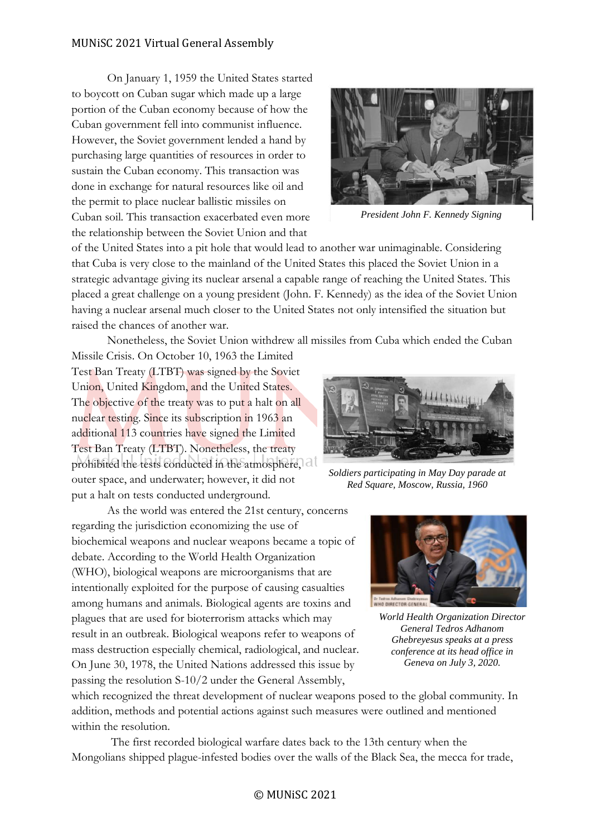On January 1, 1959 the United States started to boycott on Cuban sugar which made up a large portion of the Cuban economy because of how the Cuban government fell into communist influence. However, the Soviet government lended a hand by purchasing large quantities of resources in order to sustain the Cuban economy. This transaction was done in exchange for natural resources like oil and the permit to place nuclear ballistic missiles on Cuban soil. This transaction exacerbated even more the relationship between the Soviet Union and that



*President John F. Kennedy Signing*

of the United States into a pit hole that would lead to another war unimaginable. Considering that Cuba is very close to the mainland of the United States this placed the Soviet Union in a strategic advantage giving its nuclear arsenal a capable range of reaching the United States. This placed a great challenge on a young president (John. F. Kennedy) as the idea of the Soviet Union having a nuclear arsenal much closer to the United States not only intensified the situation but raised the chances of another war.

Nonetheless, the Soviet Union withdrew all missiles from Cuba which ended the Cuban

Missile Crisis. On October 10, 1963 the Limited Test Ban Treaty (LTBT) was signed by the Soviet Union, United Kingdom, and the United States. The objective of the treaty was to put a halt on all nuclear testing. Since its subscription in 1963 an additional 113 countries have signed the Limited Test Ban Treaty (LTBT). Nonetheless, the treaty prohibited the tests conducted in the atmosphere, all outer space, and underwater; however, it did not put a halt on tests conducted underground.

As the world was entered the 21st century, concerns regarding the jurisdiction economizing the use of biochemical weapons and nuclear weapons became a topic of debate. According to the World Health Organization (WHO), biological weapons are microorganisms that are intentionally exploited for the purpose of causing casualties among humans and animals. Biological agents are toxins and plagues that are used for bioterrorism attacks which may result in an outbreak. Biological weapons refer to weapons of mass destruction especially chemical, radiological, and nuclear. On June 30, 1978, the United Nations addressed this issue by passing the resolution S-10/2 under the General Assembly,



*Soldiers participating in May Day parade at Red Square, Moscow, Russia, 1960*



*World Health Organization Director General Tedros Adhanom Ghebreyesus speaks at a press conference at its head office in Geneva on July 3, 2020.*

which recognized the threat development of nuclear weapons posed to the global community. In addition, methods and potential actions against such measures were outlined and mentioned within the resolution.

The first recorded biological warfare dates back to the 13th century when the Mongolians shipped plague-infested bodies over the walls of the Black Sea, the mecca for trade,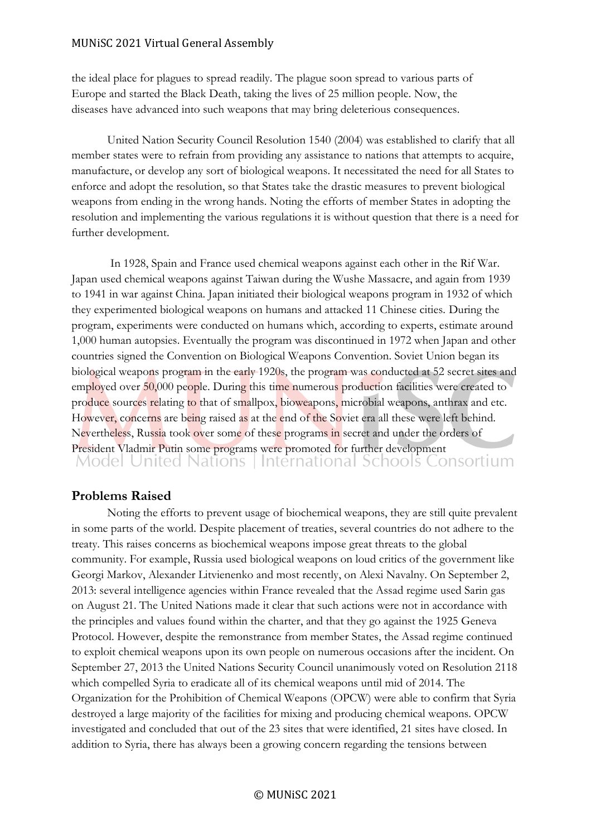the ideal place for plagues to spread readily. The plague soon spread to various parts of Europe and started the Black Death, taking the lives of 25 million people. Now, the diseases have advanced into such weapons that may bring deleterious consequences.

United Nation Security Council Resolution 1540 (2004) was established to clarify that all member states were to refrain from providing any assistance to nations that attempts to acquire, manufacture, or develop any sort of biological weapons. It necessitated the need for all States to enforce and adopt the resolution, so that States take the drastic measures to prevent biological weapons from ending in the wrong hands. Noting the efforts of member States in adopting the resolution and implementing the various regulations it is without question that there is a need for further development.

In 1928, Spain and France used chemical weapons against each other in the Rif War. Japan used chemical weapons against Taiwan during the Wushe Massacre, and again from 1939 to 1941 in war against China. Japan initiated their biological weapons program in 1932 of which they experimented biological weapons on humans and attacked 11 Chinese cities. During the program, experiments were conducted on humans which, according to experts, estimate around 1,000 human autopsies. Eventually the program was discontinued in 1972 when Japan and other countries signed the Convention on Biological Weapons Convention. Soviet Union began its biological weapons program in the early 1920s, the program was conducted at 52 secret sites and employed over 50,000 people. During this time numerous production facilities were created to produce sources relating to that of smallpox, bioweapons, microbial weapons, anthrax and etc. However, concerns are being raised as at the end of the Soviet era all these were left behind. Nevertheless, Russia took over some of these programs in secret and under the orders of President Vladmir Putin some programs were promoted for further development<br>Model United Nations International Schools Consortium

## **Problems Raised**

Noting the efforts to prevent usage of biochemical weapons, they are still quite prevalent in some parts of the world. Despite placement of treaties, several countries do not adhere to the treaty. This raises concerns as biochemical weapons impose great threats to the global community. For example, Russia used biological weapons on loud critics of the government like Georgi Markov, Alexander Litvienenko and most recently, on Alexi Navalny. On September 2, 2013: several intelligence agencies within France revealed that the Assad regime used Sarin gas on August 21. The United Nations made it clear that such actions were not in accordance with the principles and values found within the charter, and that they go against the 1925 Geneva Protocol. However, despite the remonstrance from member States, the Assad regime continued to exploit chemical weapons upon its own people on numerous occasions after the incident. On September 27, 2013 the United Nations Security Council unanimously voted on Resolution 2118 which compelled Syria to eradicate all of its chemical weapons until mid of 2014. The Organization for the Prohibition of Chemical Weapons (OPCW) were able to confirm that Syria destroyed a large majority of the facilities for mixing and producing chemical weapons. OPCW investigated and concluded that out of the 23 sites that were identified, 21 sites have closed. In addition to Syria, there has always been a growing concern regarding the tensions between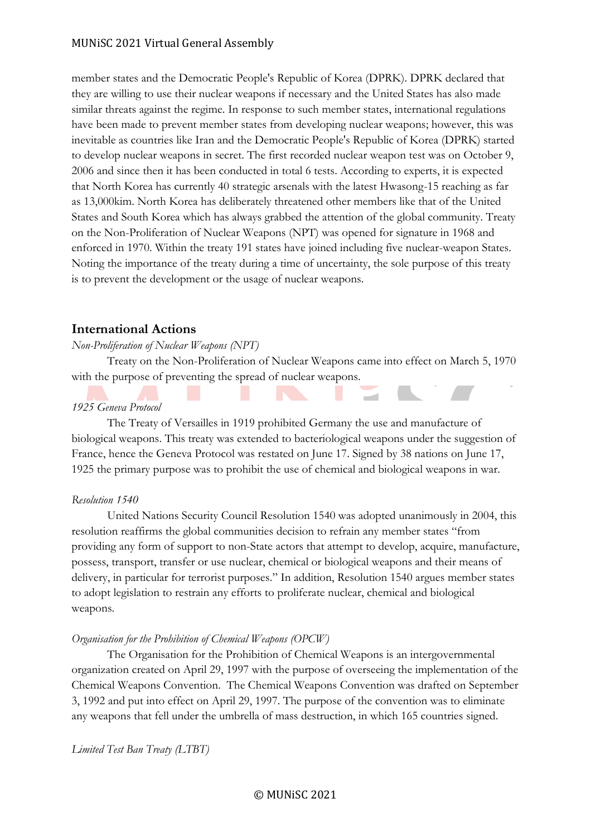member states and the Democratic People's Republic of Korea (DPRK). DPRK declared that they are willing to use their nuclear weapons if necessary and the United States has also made similar threats against the regime. In response to such member states, international regulations have been made to prevent member states from developing nuclear weapons; however, this was inevitable as countries like Iran and the Democratic People's Republic of Korea (DPRK) started to develop nuclear weapons in secret. The first recorded nuclear weapon test was on October 9, 2006 and since then it has been conducted in total 6 tests. According to experts, it is expected that North Korea has currently 40 strategic arsenals with the latest Hwasong-15 reaching as far as 13,000kim. North Korea has deliberately threatened other members like that of the United States and South Korea which has always grabbed the attention of the global community. Treaty on the Non-Proliferation of Nuclear Weapons (NPT) was opened for signature in 1968 and enforced in 1970. Within the treaty 191 states have joined including five nuclear-weapon States. Noting the importance of the treaty during a time of uncertainty, the sole purpose of this treaty is to prevent the development or the usage of nuclear weapons.

## **International Actions**

## *Non-Proliferation of Nuclear Weapons (NPT)*

Treaty on the Non-Proliferation of Nuclear Weapons came into effect on March 5, 1970 with the purpose of preventing the spread of nuclear weapons.

## *1925 Geneva Protocol*

The Treaty of Versailles in 1919 prohibited Germany the use and manufacture of biological weapons. This treaty was extended to bacteriological weapons under the suggestion of France, hence the Geneva Protocol was restated on June 17. Signed by 38 nations on June 17, 1925 the primary purpose was to prohibit the use of chemical and biological weapons in war.

## *Resolution 1540*

United Nations Security Council Resolution 1540 was adopted unanimously in 2004, this resolution reaffirms the global communities decision to refrain any member states "from providing any form of support to non-State actors that attempt to develop, acquire, manufacture, possess, transport, transfer or use nuclear, chemical or biological weapons and their means of delivery, in particular for terrorist purposes." In addition, Resolution 1540 argues member states to adopt legislation to restrain any efforts to proliferate nuclear, chemical and biological weapons.

## *Organisation for the Prohibition of Chemical Weapons (OPCW)*

The Organisation for the Prohibition of Chemical Weapons is an intergovernmental organization created on April 29, 1997 with the purpose of overseeing the implementation of the Chemical Weapons Convention. The Chemical Weapons Convention was drafted on September 3, 1992 and put into effect on April 29, 1997. The purpose of the convention was to eliminate any weapons that fell under the umbrella of mass destruction, in which 165 countries signed.

*Limited Test Ban Treaty (LTBT)*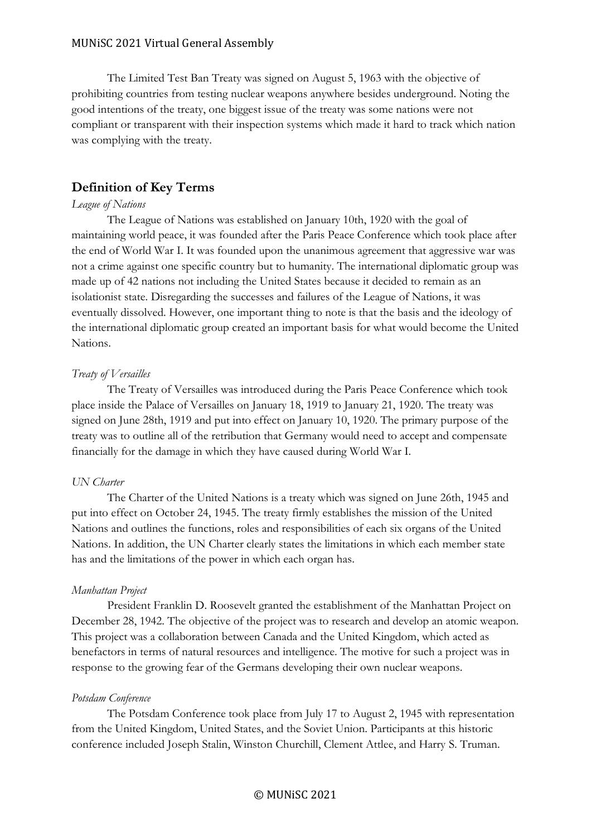The Limited Test Ban Treaty was signed on August 5, 1963 with the objective of prohibiting countries from testing nuclear weapons anywhere besides underground. Noting the good intentions of the treaty, one biggest issue of the treaty was some nations were not compliant or transparent with their inspection systems which made it hard to track which nation was complying with the treaty.

## **Definition of Key Terms**

#### *League of Nations*

The League of Nations was established on January 10th, 1920 with the goal of maintaining world peace, it was founded after the Paris Peace Conference which took place after the end of World War I. It was founded upon the unanimous agreement that aggressive war was not a crime against one specific country but to humanity. The international diplomatic group was made up of 42 nations not including the United States because it decided to remain as an isolationist state. Disregarding the successes and failures of the League of Nations, it was eventually dissolved. However, one important thing to note is that the basis and the ideology of the international diplomatic group created an important basis for what would become the United Nations.

#### *Treaty of Versailles*

The Treaty of Versailles was introduced during the Paris Peace Conference which took place inside the Palace of Versailles on January 18, 1919 to January 21, 1920. The treaty was signed on June 28th, 1919 and put into effect on January 10, 1920. The primary purpose of the treaty was to outline all of the retribution that Germany would need to accept and compensate financially for the damage in which they have caused during World War I.

#### *UN Charter*

The Charter of the United Nations is a treaty which was signed on June 26th, 1945 and put into effect on October 24, 1945. The treaty firmly establishes the mission of the United Nations and outlines the functions, roles and responsibilities of each six organs of the United Nations. In addition, the UN Charter clearly states the limitations in which each member state has and the limitations of the power in which each organ has.

#### *Manhattan Project*

President Franklin D. Roosevelt granted the establishment of the Manhattan Project on December 28, 1942. The objective of the project was to research and develop an atomic weapon. This project was a collaboration between Canada and the United Kingdom, which acted as benefactors in terms of natural resources and intelligence. The motive for such a project was in response to the growing fear of the Germans developing their own nuclear weapons.

#### *Potsdam Conference*

The Potsdam Conference took place from July 17 to August 2, 1945 with representation from the United Kingdom, United States, and the Soviet Union. Participants at this historic conference included Joseph Stalin, Winston Churchill, Clement Attlee, and Harry S. Truman.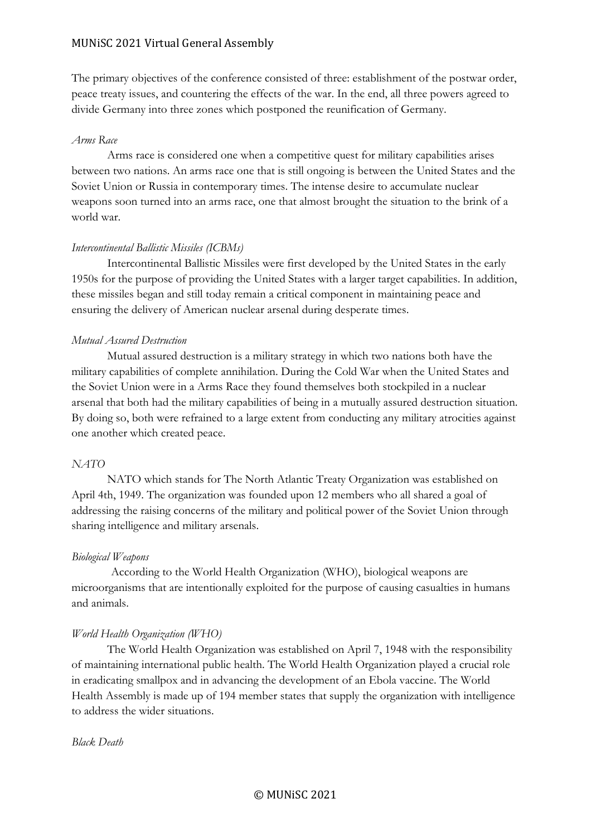The primary objectives of the conference consisted of three: establishment of the postwar order, peace treaty issues, and countering the effects of the war. In the end, all three powers agreed to divide Germany into three zones which postponed the reunification of Germany.

#### *Arms Race*

Arms race is considered one when a competitive quest for military capabilities arises between two nations. An arms race one that is still ongoing is between the United States and the Soviet Union or Russia in contemporary times. The intense desire to accumulate nuclear weapons soon turned into an arms race, one that almost brought the situation to the brink of a world war.

#### *Intercontinental Ballistic Missiles (ICBMs)*

Intercontinental Ballistic Missiles were first developed by the United States in the early 1950s for the purpose of providing the United States with a larger target capabilities. In addition, these missiles began and still today remain a critical component in maintaining peace and ensuring the delivery of American nuclear arsenal during desperate times.

#### *Mutual Assured Destruction*

Mutual assured destruction is a military strategy in which two nations both have the military capabilities of complete annihilation. During the Cold War when the United States and the Soviet Union were in a Arms Race they found themselves both stockpiled in a nuclear arsenal that both had the military capabilities of being in a mutually assured destruction situation. By doing so, both were refrained to a large extent from conducting any military atrocities against one another which created peace.

#### *NATO*

NATO which stands for The North Atlantic Treaty Organization was established on April 4th, 1949. The organization was founded upon 12 members who all shared a goal of addressing the raising concerns of the military and political power of the Soviet Union through sharing intelligence and military arsenals.

#### *Biological Weapons*

According to the World Health Organization (WHO), biological weapons are microorganisms that are intentionally exploited for the purpose of causing casualties in humans and animals.

## *World Health Organization (WHO)*

The World Health Organization was established on April 7, 1948 with the responsibility of maintaining international public health. The World Health Organization played a crucial role in eradicating smallpox and in advancing the development of an Ebola vaccine. The World Health Assembly is made up of 194 member states that supply the organization with intelligence to address the wider situations.

#### *Black Death*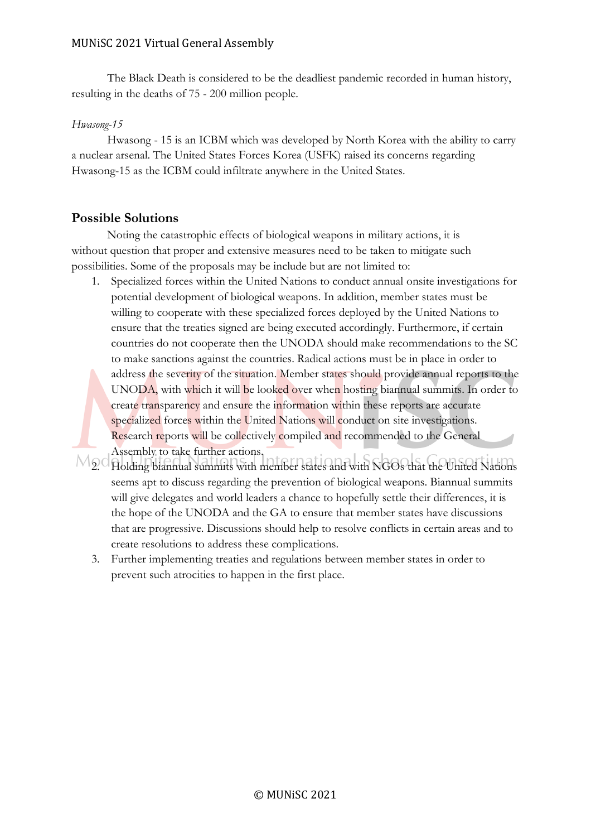The Black Death is considered to be the deadliest pandemic recorded in human history, resulting in the deaths of 75 - 200 million people.

## *Hwasong-15*

Hwasong - 15 is an ICBM which was developed by North Korea with the ability to carry a nuclear arsenal. The United States Forces Korea (USFK) raised its concerns regarding Hwasong-15 as the ICBM could infiltrate anywhere in the United States.

## **Possible Solutions**

Noting the catastrophic effects of biological weapons in military actions, it is without question that proper and extensive measures need to be taken to mitigate such possibilities. Some of the proposals may be include but are not limited to:

- 1. Specialized forces within the United Nations to conduct annual onsite investigations for potential development of biological weapons. In addition, member states must be willing to cooperate with these specialized forces deployed by the United Nations to ensure that the treaties signed are being executed accordingly. Furthermore, if certain countries do not cooperate then the UNODA should make recommendations to the SC to make sanctions against the countries. Radical actions must be in place in order to address the severity of the situation. Member states should provide annual reports to the UNODA, with which it will be looked over when hosting biannual summits. In order to create transparency and ensure the information within these reports are accurate specialized forces within the United Nations will conduct on site investigations. Research reports will be collectively compiled and recommended to the General Assembly to take further actions.
- $M_2$ Cholding biannual summits with member states and with NGOs that the United Nations seems apt to discuss regarding the prevention of biological weapons. Biannual summits will give delegates and world leaders a chance to hopefully settle their differences, it is the hope of the UNODA and the GA to ensure that member states have discussions that are progressive. Discussions should help to resolve conflicts in certain areas and to create resolutions to address these complications.
	- 3. Further implementing treaties and regulations between member states in order to prevent such atrocities to happen in the first place.